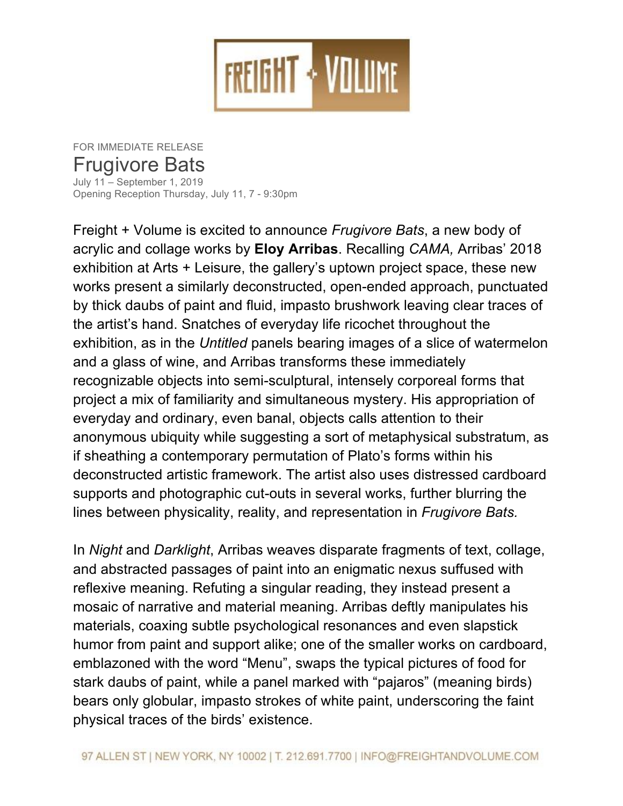

FOR IMMEDIATE RELEASE Frugivore Bats July 11 – September 1, 2019 Opening Reception Thursday, July 11, 7 - 9:30pm

Freight + Volume is excited to announce *Frugivore Bats*, a new body of acrylic and collage works by **Eloy Arribas**. Recalling *CAMA,* Arribas' 2018 exhibition at Arts + Leisure, the gallery's uptown project space, these new works present a similarly deconstructed, open-ended approach, punctuated by thick daubs of paint and fluid, impasto brushwork leaving clear traces of the artist's hand. Snatches of everyday life ricochet throughout the exhibition, as in the *Untitled* panels bearing images of a slice of watermelon and a glass of wine, and Arribas transforms these immediately recognizable objects into semi-sculptural, intensely corporeal forms that project a mix of familiarity and simultaneous mystery. His appropriation of everyday and ordinary, even banal, objects calls attention to their anonymous ubiquity while suggesting a sort of metaphysical substratum, as if sheathing a contemporary permutation of Plato's forms within his deconstructed artistic framework. The artist also uses distressed cardboard supports and photographic cut-outs in several works, further blurring the lines between physicality, reality, and representation in *Frugivore Bats.*

In *Night* and *Darklight*, Arribas weaves disparate fragments of text, collage, and abstracted passages of paint into an enigmatic nexus suffused with reflexive meaning. Refuting a singular reading, they instead present a mosaic of narrative and material meaning. Arribas deftly manipulates his materials, coaxing subtle psychological resonances and even slapstick humor from paint and support alike; one of the smaller works on cardboard, emblazoned with the word "Menu", swaps the typical pictures of food for stark daubs of paint, while a panel marked with "pajaros" (meaning birds) bears only globular, impasto strokes of white paint, underscoring the faint physical traces of the birds' existence.